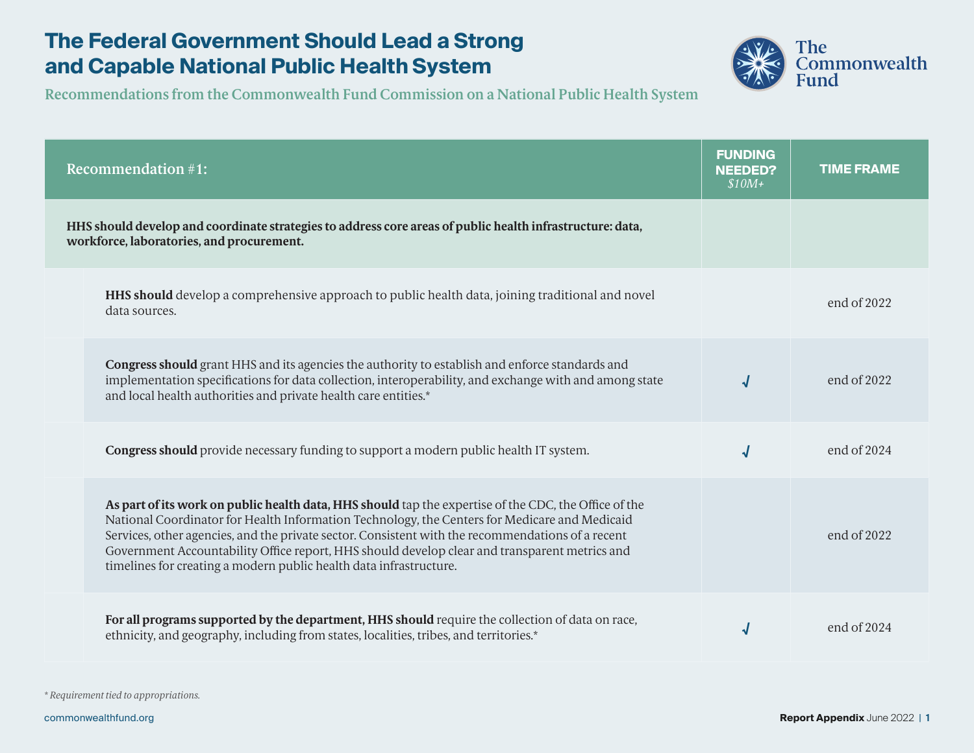

| <b>Recommendation #1:</b>                                                                                                                                                                                                                                                                                                                                                                                                                                                          | <b>FUNDING</b><br><b>NEEDED?</b><br>$$10M+$ | <b>TIME FRAME</b> |
|------------------------------------------------------------------------------------------------------------------------------------------------------------------------------------------------------------------------------------------------------------------------------------------------------------------------------------------------------------------------------------------------------------------------------------------------------------------------------------|---------------------------------------------|-------------------|
| HHS should develop and coordinate strategies to address core areas of public health infrastructure: data,<br>workforce, laboratories, and procurement.                                                                                                                                                                                                                                                                                                                             |                                             |                   |
| <b>HHS should</b> develop a comprehensive approach to public health data, joining traditional and novel<br>data sources.                                                                                                                                                                                                                                                                                                                                                           |                                             | end of $2022$     |
| <b>Congress should</b> grant HHS and its agencies the authority to establish and enforce standards and<br>implementation specifications for data collection, interoperability, and exchange with and among state<br>and local health authorities and private health care entities.*                                                                                                                                                                                                |                                             | end of 2022       |
| <b>Congress should</b> provide necessary funding to support a modern public health IT system.                                                                                                                                                                                                                                                                                                                                                                                      | √                                           | end of 2024       |
| As part of its work on public health data, HHS should tap the expertise of the CDC, the Office of the<br>National Coordinator for Health Information Technology, the Centers for Medicare and Medicaid<br>Services, other agencies, and the private sector. Consistent with the recommendations of a recent<br>Government Accountability Office report, HHS should develop clear and transparent metrics and<br>timelines for creating a modern public health data infrastructure. |                                             | end of 2022       |
| For all programs supported by the department, HHS should require the collection of data on race,<br>ethnicity, and geography, including from states, localities, tribes, and territories.*                                                                                                                                                                                                                                                                                         |                                             | end of 2024       |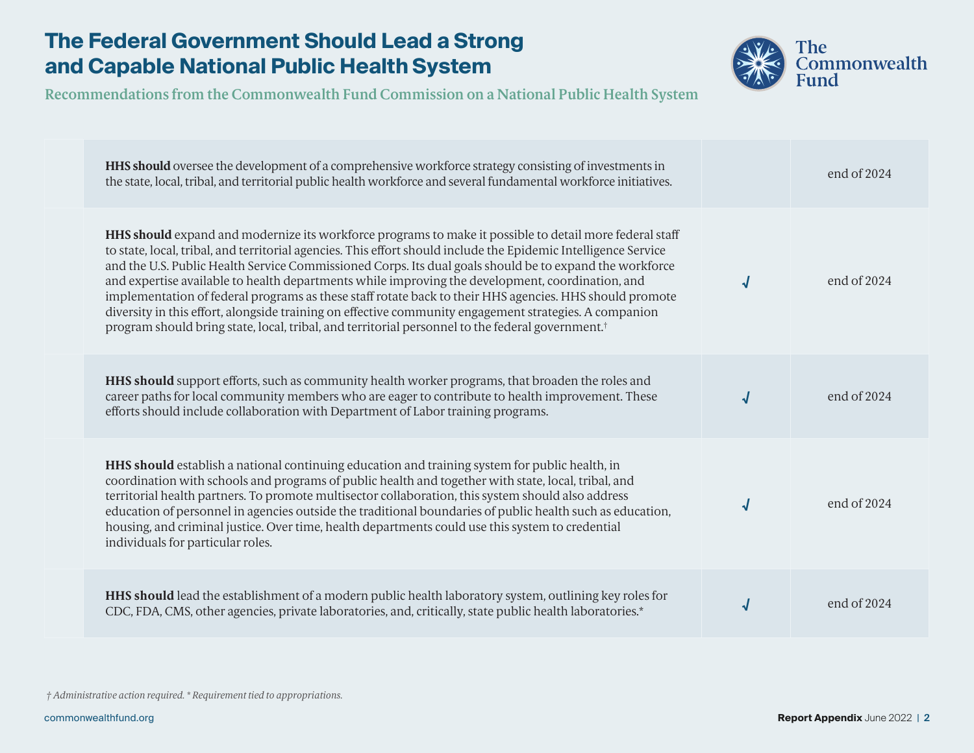

**Recommendations from the Commonwealth Fund Commission on a National Public Health System**

| <b>HHS should</b> oversee the development of a comprehensive workforce strategy consisting of investments in<br>the state, local, tribal, and territorial public health workforce and several fundamental workforce initiatives.                                                                                                                                                                                                                                                                                                                                                                                                                                                                                                                                                      |  | end of 2024   |
|---------------------------------------------------------------------------------------------------------------------------------------------------------------------------------------------------------------------------------------------------------------------------------------------------------------------------------------------------------------------------------------------------------------------------------------------------------------------------------------------------------------------------------------------------------------------------------------------------------------------------------------------------------------------------------------------------------------------------------------------------------------------------------------|--|---------------|
| <b>HHS should</b> expand and modernize its workforce programs to make it possible to detail more federal staff<br>to state, local, tribal, and territorial agencies. This effort should include the Epidemic Intelligence Service<br>and the U.S. Public Health Service Commissioned Corps. Its dual goals should be to expand the workforce<br>and expertise available to health departments while improving the development, coordination, and<br>implementation of federal programs as these staff rotate back to their HHS agencies. HHS should promote<br>diversity in this effort, alongside training on effective community engagement strategies. A companion<br>program should bring state, local, tribal, and territorial personnel to the federal government. <sup>†</sup> |  | end of 2024   |
| <b>HHS should</b> support efforts, such as community health worker programs, that broaden the roles and<br>career paths for local community members who are eager to contribute to health improvement. These<br>efforts should include collaboration with Department of Labor training programs.                                                                                                                                                                                                                                                                                                                                                                                                                                                                                      |  | end of 2024   |
| HHS should establish a national continuing education and training system for public health, in<br>coordination with schools and programs of public health and together with state, local, tribal, and<br>territorial health partners. To promote multisector collaboration, this system should also address<br>education of personnel in agencies outside the traditional boundaries of public health such as education,<br>housing, and criminal justice. Over time, health departments could use this system to credential<br>individuals for particular roles.                                                                                                                                                                                                                     |  | end of 2024   |
| HHS should lead the establishment of a modern public health laboratory system, outlining key roles for<br>CDC, FDA, CMS, other agencies, private laboratories, and, critically, state public health laboratories.*                                                                                                                                                                                                                                                                                                                                                                                                                                                                                                                                                                    |  | end of $2024$ |

 *† Administrative action required. \* Requirement tied to appropriations.*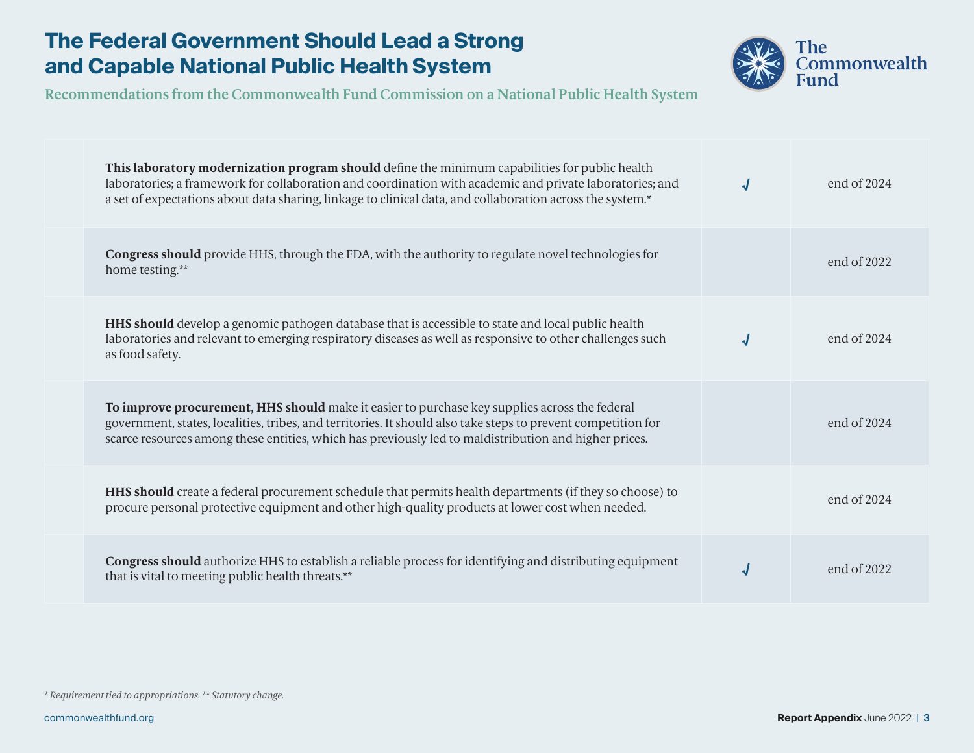

**Recommendations from the Commonwealth Fund Commission on a National Public Health System**

| This laboratory modernization program should define the minimum capabilities for public health<br>laboratories; a framework for collaboration and coordination with academic and private laboratories; and<br>a set of expectations about data sharing, linkage to clinical data, and collaboration across the system.* | end of $2024$ |
|-------------------------------------------------------------------------------------------------------------------------------------------------------------------------------------------------------------------------------------------------------------------------------------------------------------------------|---------------|
| <b>Congress should</b> provide HHS, through the FDA, with the authority to regulate novel technologies for<br>home testing.**                                                                                                                                                                                           | end of $2022$ |
| <b>HHS should</b> develop a genomic pathogen database that is accessible to state and local public health<br>laboratories and relevant to emerging respiratory diseases as well as responsive to other challenges such<br>as food safety.                                                                               | end of $2024$ |
| To improve procurement, HHS should make it easier to purchase key supplies across the federal<br>government, states, localities, tribes, and territories. It should also take steps to prevent competition for<br>scarce resources among these entities, which has previously led to maldistribution and higher prices. | end of $2024$ |
| HHS should create a federal procurement schedule that permits health departments (if they so choose) to<br>procure personal protective equipment and other high-quality products at lower cost when needed.                                                                                                             | end of $2024$ |
| Congress should authorize HHS to establish a reliable process for identifying and distributing equipment<br>that is vital to meeting public health threats.**                                                                                                                                                           | end of 2022   |

*\* Requirement tied to appropriations. \*\* Statutory change.*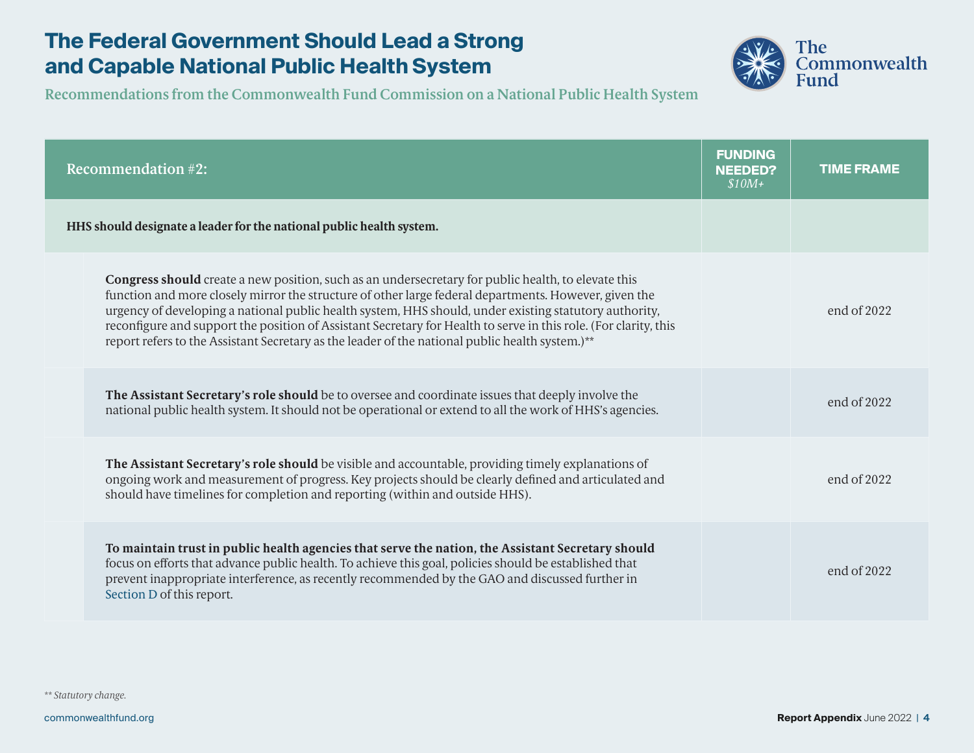

**Recommendations from the Commonwealth Fund Commission on a National Public Health System**

| <b>Recommendation #2:</b>                                                                                                                                                                                                                                                                                                                                                                                                                                                                                                                            | <b>FUNDING</b><br><b>NEEDED?</b><br>$$10M+$ | <b>TIME FRAME</b> |
|------------------------------------------------------------------------------------------------------------------------------------------------------------------------------------------------------------------------------------------------------------------------------------------------------------------------------------------------------------------------------------------------------------------------------------------------------------------------------------------------------------------------------------------------------|---------------------------------------------|-------------------|
| HHS should designate a leader for the national public health system.                                                                                                                                                                                                                                                                                                                                                                                                                                                                                 |                                             |                   |
| <b>Congress should</b> create a new position, such as an undersecretary for public health, to elevate this<br>function and more closely mirror the structure of other large federal departments. However, given the<br>urgency of developing a national public health system, HHS should, under existing statutory authority,<br>reconfigure and support the position of Assistant Secretary for Health to serve in this role. (For clarity, this<br>report refers to the Assistant Secretary as the leader of the national public health system.)** |                                             | end of 2022       |
| The Assistant Secretary's role should be to oversee and coordinate issues that deeply involve the<br>national public health system. It should not be operational or extend to all the work of HHS's agencies.                                                                                                                                                                                                                                                                                                                                        |                                             | end of 2022       |
| The Assistant Secretary's role should be visible and accountable, providing timely explanations of<br>ongoing work and measurement of progress. Key projects should be clearly defined and articulated and<br>should have timelines for completion and reporting (within and outside HHS).                                                                                                                                                                                                                                                           |                                             | end of $2022$     |
| To maintain trust in public health agencies that serve the nation, the Assistant Secretary should<br>focus on efforts that advance public health. To achieve this goal, policies should be established that<br>prevent inappropriate interference, as recently recommended by the GAO and discussed further in<br>Section D of this report.                                                                                                                                                                                                          |                                             | end of 2022       |

*\*\* Statutory change.*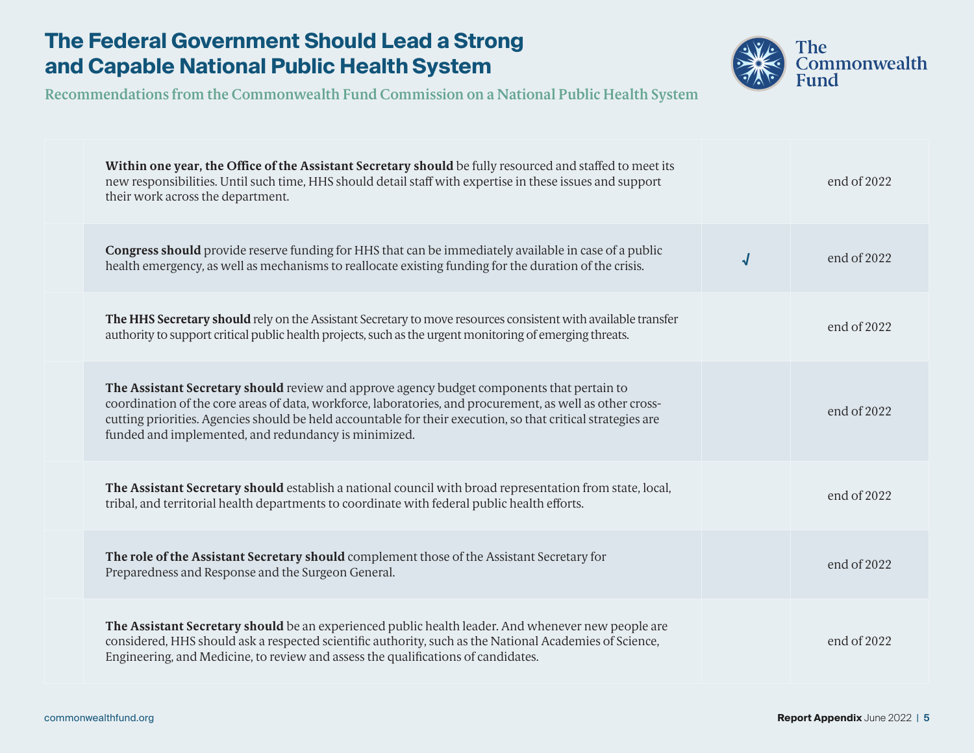

| Within one year, the Office of the Assistant Secretary should be fully resourced and staffed to meet its<br>new responsibilities. Until such time, HHS should detail staff with expertise in these issues and support<br>their work across the department.                                                                                                                      | end of 2022 |
|---------------------------------------------------------------------------------------------------------------------------------------------------------------------------------------------------------------------------------------------------------------------------------------------------------------------------------------------------------------------------------|-------------|
| Congress should provide reserve funding for HHS that can be immediately available in case of a public<br>$\sqrt{2}$<br>health emergency, as well as mechanisms to reallocate existing funding for the duration of the crisis.                                                                                                                                                   | end of 2022 |
| The HHS Secretary should rely on the Assistant Secretary to move resources consistent with available transfer<br>authority to support critical public health projects, such as the urgent monitoring of emerging threats.                                                                                                                                                       | end of 2022 |
| The Assistant Secretary should review and approve agency budget components that pertain to<br>coordination of the core areas of data, workforce, laboratories, and procurement, as well as other cross-<br>cutting priorities. Agencies should be held accountable for their execution, so that critical strategies are<br>funded and implemented, and redundancy is minimized. | end of 2022 |
| The Assistant Secretary should establish a national council with broad representation from state, local,<br>tribal, and territorial health departments to coordinate with federal public health efforts.                                                                                                                                                                        | end of 2022 |
| The role of the Assistant Secretary should complement those of the Assistant Secretary for<br>Preparedness and Response and the Surgeon General.                                                                                                                                                                                                                                | end of 2022 |
| The Assistant Secretary should be an experienced public health leader. And whenever new people are<br>considered, HHS should ask a respected scientific authority, such as the National Academies of Science,<br>Engineering, and Medicine, to review and assess the qualifications of candidates.                                                                              | end of 2022 |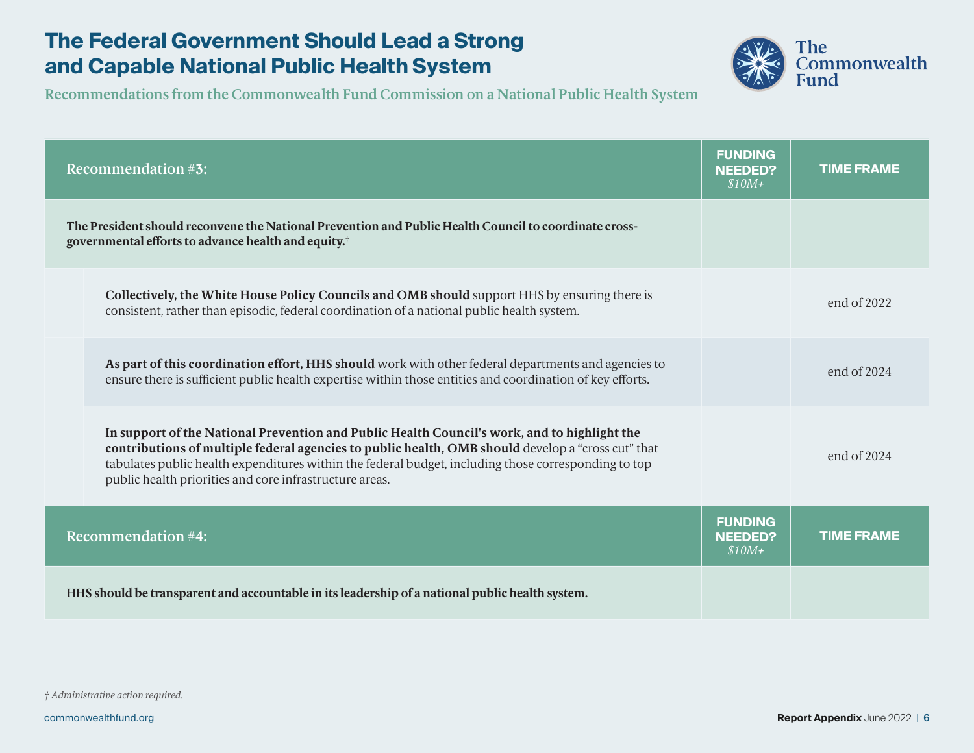

| <b>Recommendation #3:</b>                                                                                                                                                                                                                                                                                                                                             | <b>FUNDING</b><br><b>NEEDED?</b><br>$$10M+$ | <b>TIME FRAME</b> |
|-----------------------------------------------------------------------------------------------------------------------------------------------------------------------------------------------------------------------------------------------------------------------------------------------------------------------------------------------------------------------|---------------------------------------------|-------------------|
| The President should reconvene the National Prevention and Public Health Council to coordinate cross-<br>governmental efforts to advance health and equity. <sup>†</sup>                                                                                                                                                                                              |                                             |                   |
| Collectively, the White House Policy Councils and OMB should support HHS by ensuring there is<br>consistent, rather than episodic, federal coordination of a national public health system.                                                                                                                                                                           |                                             | end of $2022$     |
| As part of this coordination effort, HHS should work with other federal departments and agencies to<br>ensure there is sufficient public health expertise within those entities and coordination of key efforts.                                                                                                                                                      |                                             | end of $2024$     |
| In support of the National Prevention and Public Health Council's work, and to highlight the<br>contributions of multiple federal agencies to public health, OMB should develop a "cross cut" that<br>tabulates public health expenditures within the federal budget, including those corresponding to top<br>public health priorities and core infrastructure areas. |                                             | end of 2024       |
| <b>Recommendation #4:</b>                                                                                                                                                                                                                                                                                                                                             | <b>FUNDING</b><br><b>NEEDED?</b><br>$$10M+$ | <b>TIME FRAME</b> |
| HHS should be transparent and accountable in its leadership of a national public health system.                                                                                                                                                                                                                                                                       |                                             |                   |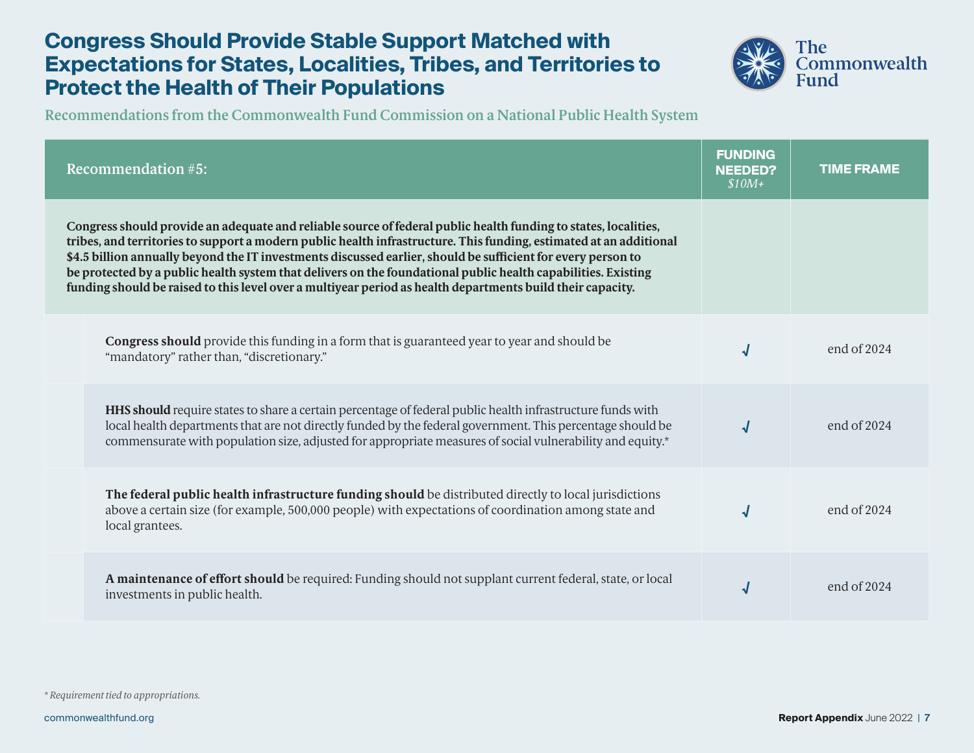

| <b>Recommendation #5:</b>                                                                                                                                                                                                                                                                                                                                                                                                                                                                                                                                                            | <b>FUNDING</b><br><b>NEEDED?</b><br>$$10M+$ | <b>TIME FRAME</b> |
|--------------------------------------------------------------------------------------------------------------------------------------------------------------------------------------------------------------------------------------------------------------------------------------------------------------------------------------------------------------------------------------------------------------------------------------------------------------------------------------------------------------------------------------------------------------------------------------|---------------------------------------------|-------------------|
| Congress should provide an adequate and reliable source of federal public health funding to states, localities,<br>tribes, and territories to support a modern public health infrastructure. This funding, estimated at an additional<br>\$4.5 billion annually beyond the IT investments discussed earlier, should be sufficient for every person to<br>be protected by a public health system that delivers on the foundational public health capabilities. Existing<br>funding should be raised to this level over a multiyear period as health departments build their capacity. |                                             |                   |
| <b>Congress should</b> provide this funding in a form that is guaranteed year to year and should be<br>"mandatory" rather than, "discretionary."                                                                                                                                                                                                                                                                                                                                                                                                                                     | √                                           | end of $2024$     |
| <b>HHS should</b> require states to share a certain percentage of federal public health infrastructure funds with<br>local health departments that are not directly funded by the federal government. This percentage should be<br>commensurate with population size, adjusted for appropriate measures of social vulnerability and equity.*                                                                                                                                                                                                                                         | √                                           | end of $2024$     |
| The federal public health infrastructure funding should be distributed directly to local jurisdictions<br>above a certain size (for example, 500,000 people) with expectations of coordination among state and<br>local grantees.                                                                                                                                                                                                                                                                                                                                                    | √                                           | end of $2024$     |
| A maintenance of effort should be required: Funding should not supplant current federal, state, or local<br>investments in public health.                                                                                                                                                                                                                                                                                                                                                                                                                                            | √                                           | end of $2024$     |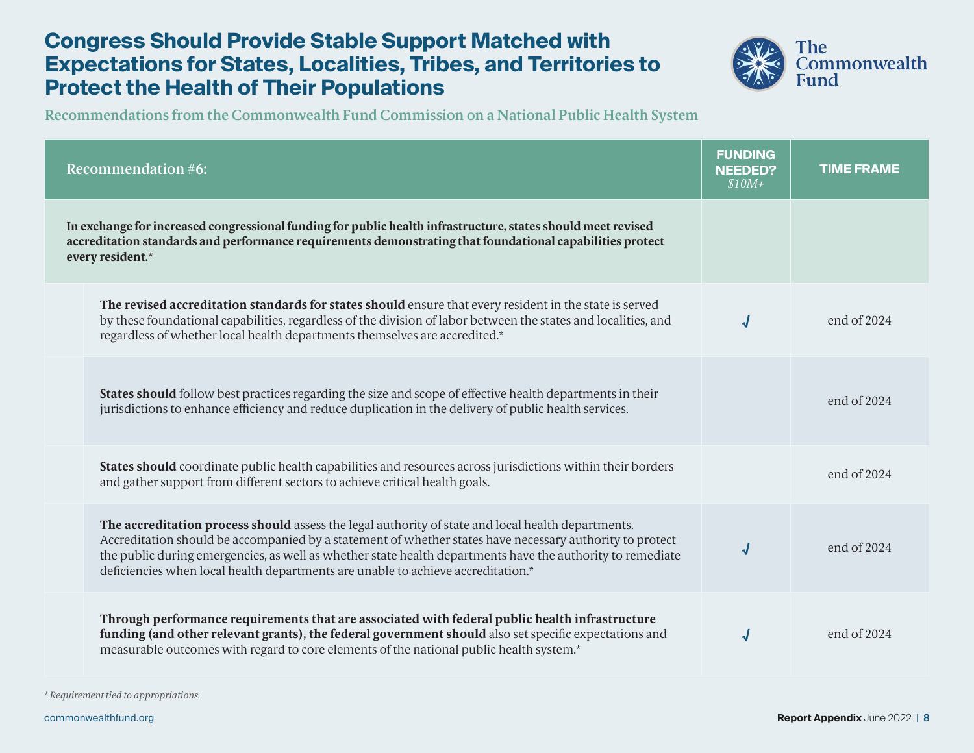

**Recommendations from the Commonwealth Fund Commission on a National Public Health System**

| <b>Recommendation #6:</b>                                                                                                                                                                                                                                                                                                                                                                                        | <b>FUNDING</b><br><b>NEEDED?</b><br>$$10M+$ | <b>TIME FRAME</b> |
|------------------------------------------------------------------------------------------------------------------------------------------------------------------------------------------------------------------------------------------------------------------------------------------------------------------------------------------------------------------------------------------------------------------|---------------------------------------------|-------------------|
| In exchange for increased congressional funding for public health infrastructure, states should meet revised<br>accreditation standards and performance requirements demonstrating that foundational capabilities protect<br>every resident.*                                                                                                                                                                    |                                             |                   |
| The revised accreditation standards for states should ensure that every resident in the state is served<br>by these foundational capabilities, regardless of the division of labor between the states and localities, and<br>regardless of whether local health departments themselves are accredited.*                                                                                                          | $\sqrt{2}$                                  | end of 2024       |
| States should follow best practices regarding the size and scope of effective health departments in their<br>jurisdictions to enhance efficiency and reduce duplication in the delivery of public health services.                                                                                                                                                                                               |                                             | end of 2024       |
| States should coordinate public health capabilities and resources across jurisdictions within their borders<br>and gather support from different sectors to achieve critical health goals.                                                                                                                                                                                                                       |                                             | end of 2024       |
| The accreditation process should assess the legal authority of state and local health departments.<br>Accreditation should be accompanied by a statement of whether states have necessary authority to protect<br>the public during emergencies, as well as whether state health departments have the authority to remediate<br>deficiencies when local health departments are unable to achieve accreditation.* | $\sqrt{2}$                                  | end of 2024       |
| Through performance requirements that are associated with federal public health infrastructure<br>funding (and other relevant grants), the federal government should also set specific expectations and<br>measurable outcomes with regard to core elements of the national public health system.*                                                                                                               | ᆡ                                           | end of $2024$     |

*\* Requirement tied to appropriations.*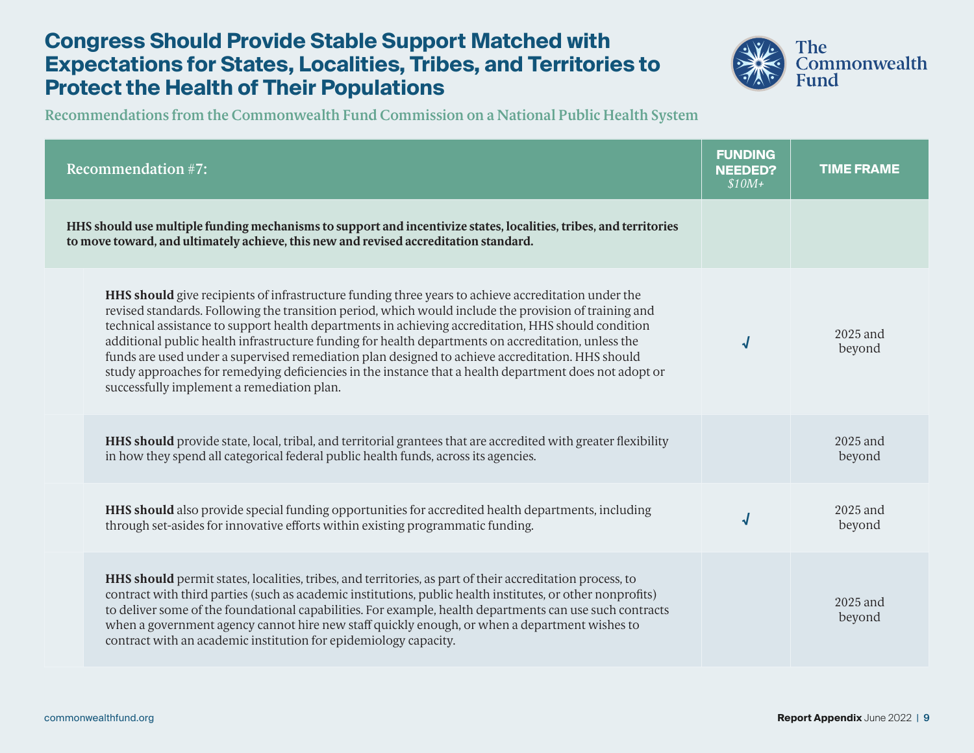

| <b>Recommendation #7:</b>                                                                                                                                                                                                                                                                                                                                                                                                                                                                                                                                                                                                                                                              | <b>FUNDING</b><br><b>NEEDED?</b><br>$$10M+$ | <b>TIME FRAME</b>    |
|----------------------------------------------------------------------------------------------------------------------------------------------------------------------------------------------------------------------------------------------------------------------------------------------------------------------------------------------------------------------------------------------------------------------------------------------------------------------------------------------------------------------------------------------------------------------------------------------------------------------------------------------------------------------------------------|---------------------------------------------|----------------------|
| HHS should use multiple funding mechanisms to support and incentivize states, localities, tribes, and territories<br>to move toward, and ultimately achieve, this new and revised accreditation standard.                                                                                                                                                                                                                                                                                                                                                                                                                                                                              |                                             |                      |
| HHS should give recipients of infrastructure funding three years to achieve accreditation under the<br>revised standards. Following the transition period, which would include the provision of training and<br>technical assistance to support health departments in achieving accreditation, HHS should condition<br>additional public health infrastructure funding for health departments on accreditation, unless the<br>funds are used under a supervised remediation plan designed to achieve accreditation. HHS should<br>study approaches for remedying deficiencies in the instance that a health department does not adopt or<br>successfully implement a remediation plan. |                                             | 2025 and<br>beyond   |
| HHS should provide state, local, tribal, and territorial grantees that are accredited with greater flexibility<br>in how they spend all categorical federal public health funds, across its agencies.                                                                                                                                                                                                                                                                                                                                                                                                                                                                                  |                                             | 2025 and<br>beyond   |
| <b>HHS should</b> also provide special funding opportunities for accredited health departments, including<br>through set-asides for innovative efforts within existing programmatic funding.                                                                                                                                                                                                                                                                                                                                                                                                                                                                                           |                                             | $2025$ and<br>beyond |
| <b>HHS should</b> permit states, localities, tribes, and territories, as part of their accreditation process, to<br>contract with third parties (such as academic institutions, public health institutes, or other nonprofits)<br>to deliver some of the foundational capabilities. For example, health departments can use such contracts<br>when a government agency cannot hire new staff quickly enough, or when a department wishes to<br>contract with an academic institution for epidemiology capacity.                                                                                                                                                                        |                                             | $2025$ and<br>beyond |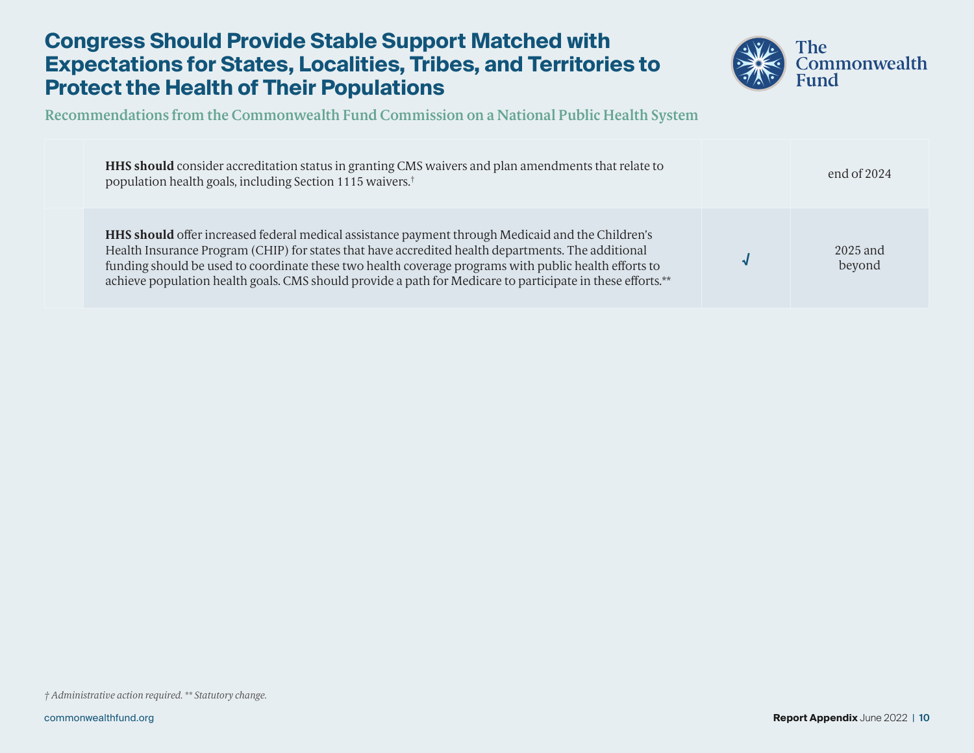

| HHS should consider accreditation status in granting CMS waivers and plan amendments that relate to<br>population health goals, including Section 1115 waivers. <sup>†</sup>                                                                                                                                                                                                                                                   | end of $2024$        |
|--------------------------------------------------------------------------------------------------------------------------------------------------------------------------------------------------------------------------------------------------------------------------------------------------------------------------------------------------------------------------------------------------------------------------------|----------------------|
| HHS should offer increased federal medical assistance payment through Medicaid and the Children's<br>Health Insurance Program (CHIP) for states that have accredited health departments. The additional<br>funding should be used to coordinate these two health coverage programs with public health efforts to<br>achieve population health goals. CMS should provide a path for Medicare to participate in these efforts.** | $2025$ and<br>beyond |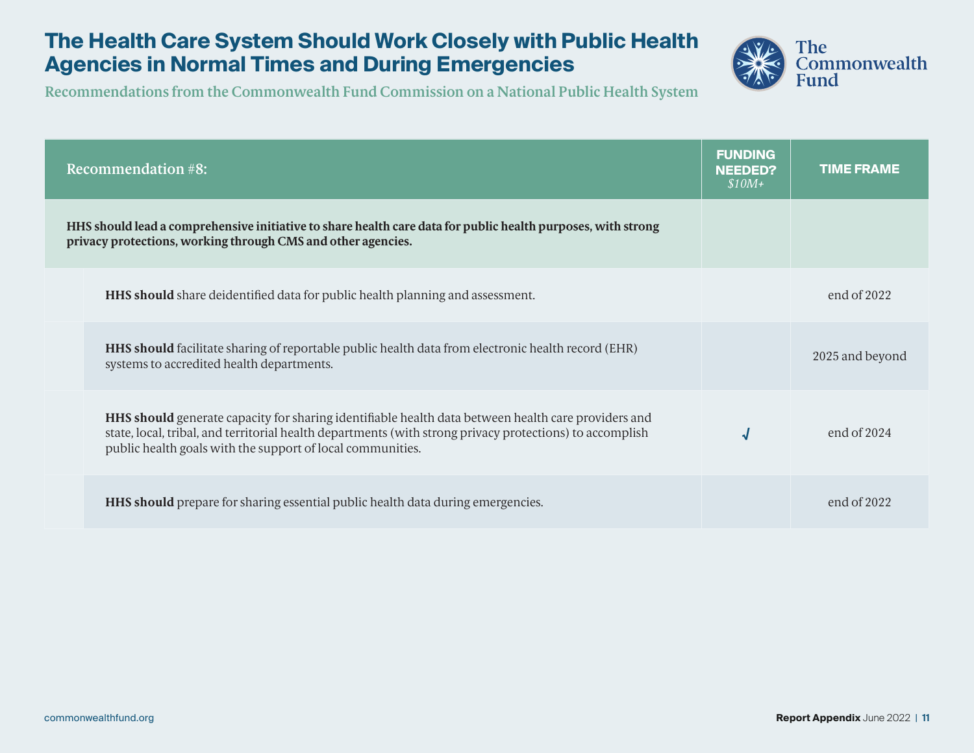### **The Health Care System Should Work Closely with Public Health Agencies in Normal Times and During Emergencies**



| <b>Recommendation #8:</b>                                                                                                                                                                                                                                                            | <b>FUNDING</b><br><b>NEEDED?</b><br>$$10M+$ | <b>TIME FRAME</b> |
|--------------------------------------------------------------------------------------------------------------------------------------------------------------------------------------------------------------------------------------------------------------------------------------|---------------------------------------------|-------------------|
| HHS should lead a comprehensive initiative to share health care data for public health purposes, with strong<br>privacy protections, working through CMS and other agencies.                                                                                                         |                                             |                   |
| <b>HHS should</b> share deidentified data for public health planning and assessment.                                                                                                                                                                                                 |                                             | end of $2022$     |
| <b>HHS should</b> facilitate sharing of reportable public health data from electronic health record (EHR)<br>systems to accredited health departments.                                                                                                                               |                                             | 2025 and beyond   |
| <b>HHS should</b> generate capacity for sharing identifiable health data between health care providers and<br>state, local, tribal, and territorial health departments (with strong privacy protections) to accomplish<br>public health goals with the support of local communities. | √                                           | end of $2024$     |
| <b>HHS should</b> prepare for sharing essential public health data during emergencies.                                                                                                                                                                                               |                                             | end of $2022$     |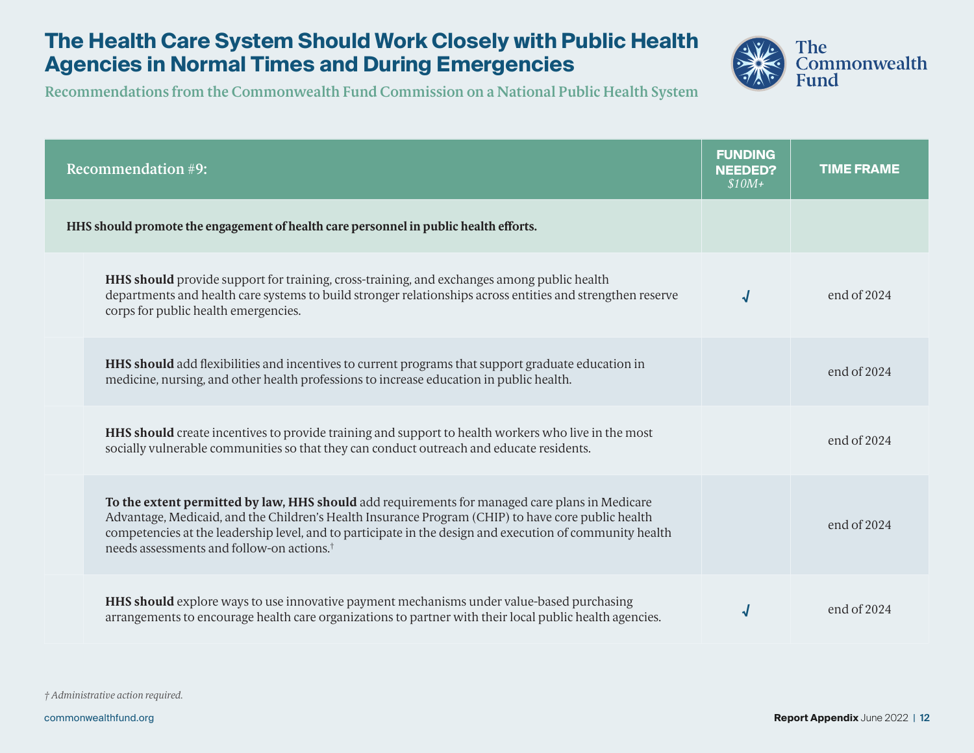## **The Health Care System Should Work Closely with Public Health Agencies in Normal Times and During Emergencies**



| <b>Recommendation #9:</b>                                                                                                                                                                                                                                                                                                                                                 | <b>FUNDING</b><br><b>NEEDED?</b><br>$$10M+$ | <b>TIME FRAME</b> |
|---------------------------------------------------------------------------------------------------------------------------------------------------------------------------------------------------------------------------------------------------------------------------------------------------------------------------------------------------------------------------|---------------------------------------------|-------------------|
| HHS should promote the engagement of health care personnel in public health efforts.                                                                                                                                                                                                                                                                                      |                                             |                   |
| <b>HHS should</b> provide support for training, cross-training, and exchanges among public health<br>departments and health care systems to build stronger relationships across entities and strengthen reserve<br>corps for public health emergencies.                                                                                                                   | √                                           | end of $2024$     |
| HHS should add flexibilities and incentives to current programs that support graduate education in<br>medicine, nursing, and other health professions to increase education in public health.                                                                                                                                                                             |                                             | end of $2024$     |
| <b>HHS should</b> create incentives to provide training and support to health workers who live in the most<br>socially vulnerable communities so that they can conduct outreach and educate residents.                                                                                                                                                                    |                                             | end of $2024$     |
| To the extent permitted by law, HHS should add requirements for managed care plans in Medicare<br>Advantage, Medicaid, and the Children's Health Insurance Program (CHIP) to have core public health<br>competencies at the leadership level, and to participate in the design and execution of community health<br>needs assessments and follow-on actions. <sup>†</sup> |                                             | end of 2024       |
| <b>HHS should</b> explore ways to use innovative payment mechanisms under value-based purchasing<br>arrangements to encourage health care organizations to partner with their local public health agencies.                                                                                                                                                               |                                             | end of $2024$     |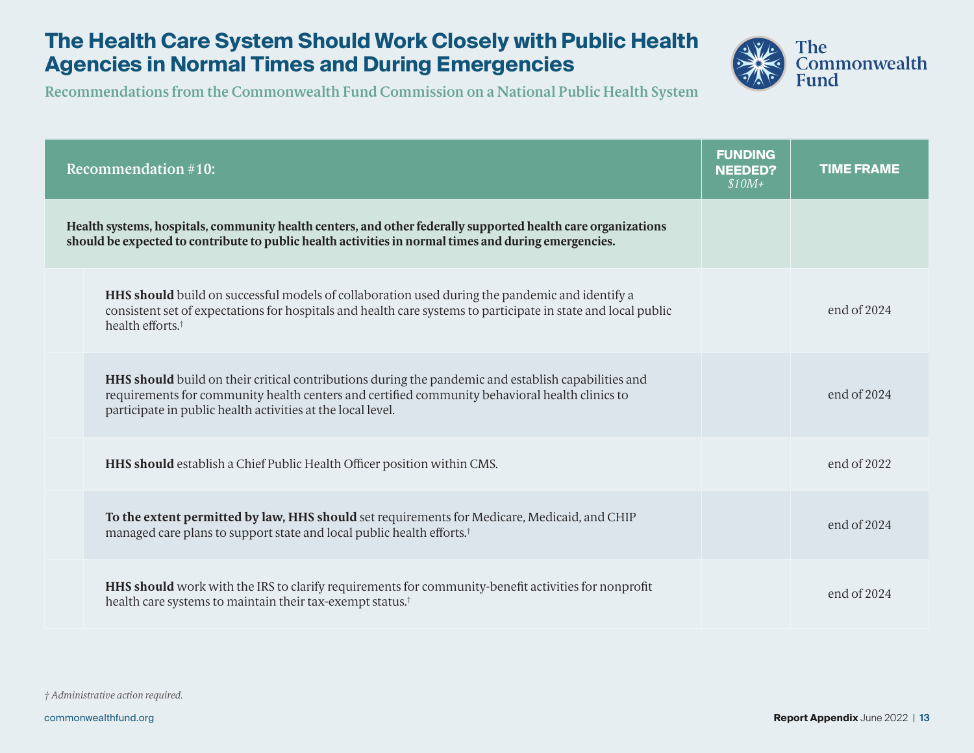### **The Health Care System Should Work Closely with Public Health Agencies in Normal Times and During Emergencies**



| <b>Recommendation #10:</b>                                                                                                                                                                                                                                                  | <b>FUNDING</b><br><b>NEEDED?</b><br>$$10M+$ | <b>TIME FRAME</b> |
|-----------------------------------------------------------------------------------------------------------------------------------------------------------------------------------------------------------------------------------------------------------------------------|---------------------------------------------|-------------------|
| Health systems, hospitals, community health centers, and other federally supported health care organizations<br>should be expected to contribute to public health activities in normal times and during emergencies.                                                        |                                             |                   |
| <b>HHS should</b> build on successful models of collaboration used during the pandemic and identify a<br>consistent set of expectations for hospitals and health care systems to participate in state and local public<br>health efforts. <sup>†</sup>                      |                                             | end of $2024$     |
| <b>HHS should</b> build on their critical contributions during the pandemic and establish capabilities and<br>requirements for community health centers and certified community behavioral health clinics to<br>participate in public health activities at the local level. |                                             | end of $2024$     |
| HHS should establish a Chief Public Health Officer position within CMS.                                                                                                                                                                                                     |                                             | end of 2022       |
| To the extent permitted by law, HHS should set requirements for Medicare, Medicaid, and CHIP<br>managed care plans to support state and local public health efforts. <sup>†</sup>                                                                                           |                                             | end of $2024$     |
| HHS should work with the IRS to clarify requirements for community-benefit activities for nonprofit<br>health care systems to maintain their tax-exempt status. <sup>†</sup>                                                                                                |                                             | end of $2024$     |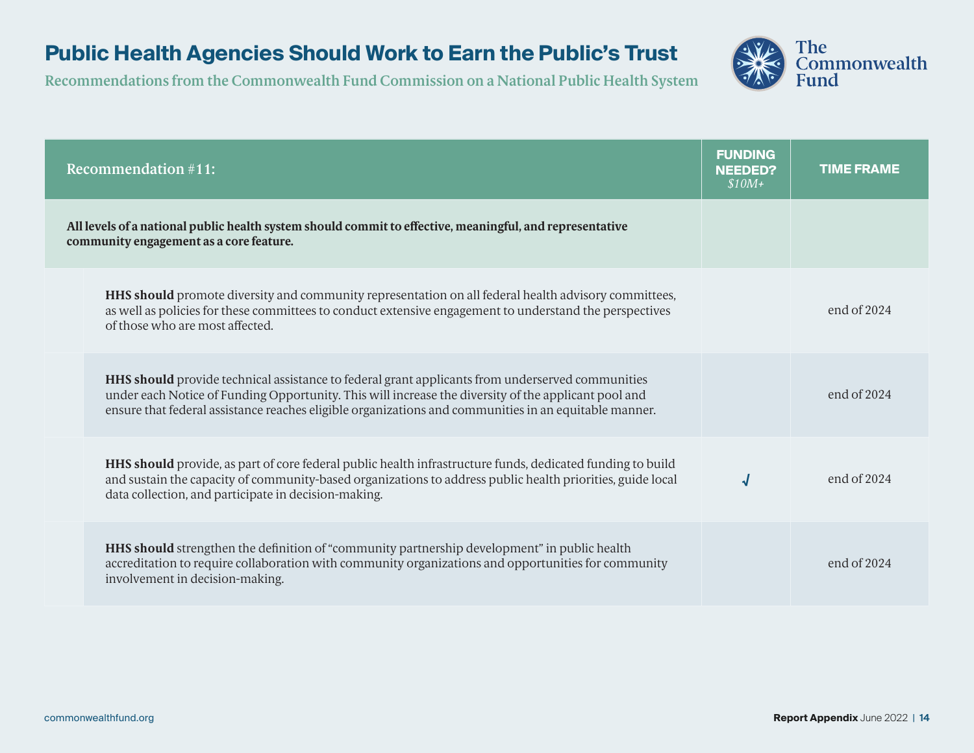## **Public Health Agencies Should Work to Earn the Public's Trust**



| <b>Recommendation #11:</b>                                                                                                                                                                                                                                                                                               | <b>FUNDING</b><br><b>NEEDED?</b><br>$$10M+$ | <b>TIME FRAME</b> |
|--------------------------------------------------------------------------------------------------------------------------------------------------------------------------------------------------------------------------------------------------------------------------------------------------------------------------|---------------------------------------------|-------------------|
| All levels of a national public health system should commit to effective, meaningful, and representative<br>community engagement as a core feature.                                                                                                                                                                      |                                             |                   |
| <b>HHS should</b> promote diversity and community representation on all federal health advisory committees,<br>as well as policies for these committees to conduct extensive engagement to understand the perspectives<br>of those who are most affected.                                                                |                                             | end of $2024$     |
| <b>HHS should</b> provide technical assistance to federal grant applicants from underserved communities<br>under each Notice of Funding Opportunity. This will increase the diversity of the applicant pool and<br>ensure that federal assistance reaches eligible organizations and communities in an equitable manner. |                                             | end of $2024$     |
| <b>HHS should</b> provide, as part of core federal public health infrastructure funds, dedicated funding to build<br>and sustain the capacity of community-based organizations to address public health priorities, guide local<br>data collection, and participate in decision-making.                                  |                                             | end of $2024$     |
| <b>HHS should</b> strengthen the definition of "community partnership development" in public health<br>accreditation to require collaboration with community organizations and opportunities for community<br>involvement in decision-making.                                                                            |                                             | end of $2024$     |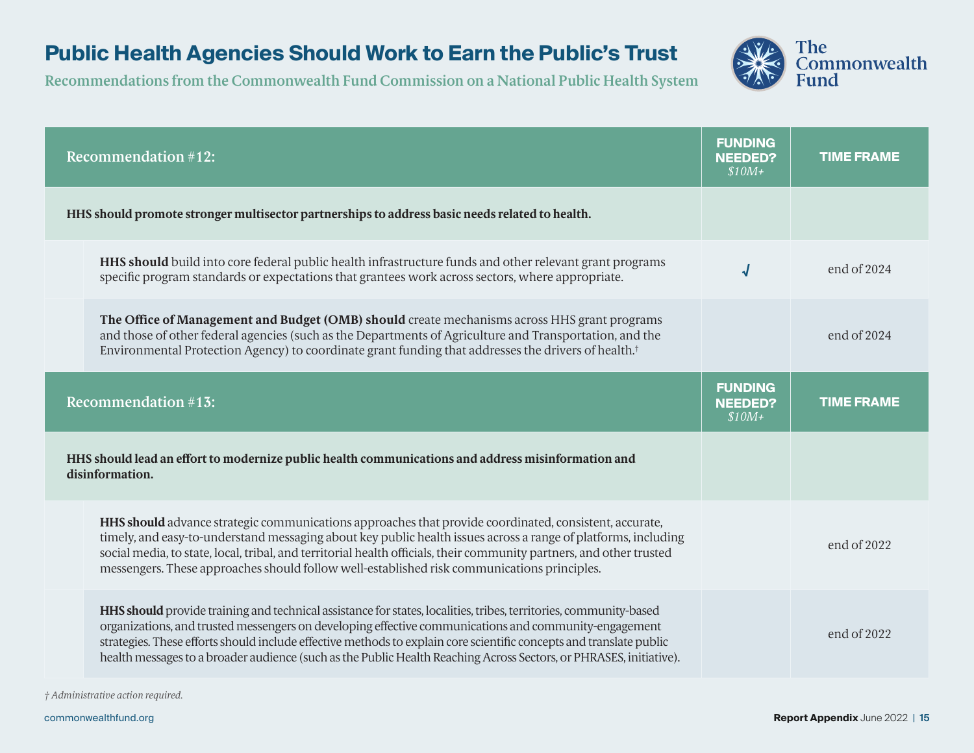## **Public Health Agencies Should Work to Earn the Public's Trust**

**Recommendations from the Commonwealth Fund Commission on a National Public Health System**



|                                                                                                | <b>Recommendation #12:</b>                                                                                                                                                                                                                                                                                                                                                                                                                                              | <b>FUNDING</b><br><b>NEEDED?</b><br>$$10M+$ | <b>TIME FRAME</b> |
|------------------------------------------------------------------------------------------------|-------------------------------------------------------------------------------------------------------------------------------------------------------------------------------------------------------------------------------------------------------------------------------------------------------------------------------------------------------------------------------------------------------------------------------------------------------------------------|---------------------------------------------|-------------------|
| HHS should promote stronger multisector partnerships to address basic needs related to health. |                                                                                                                                                                                                                                                                                                                                                                                                                                                                         |                                             |                   |
|                                                                                                | HHS should build into core federal public health infrastructure funds and other relevant grant programs<br>specific program standards or expectations that grantees work across sectors, where appropriate.                                                                                                                                                                                                                                                             | √                                           | end of 2024       |
|                                                                                                | The Office of Management and Budget (OMB) should create mechanisms across HHS grant programs<br>and those of other federal agencies (such as the Departments of Agriculture and Transportation, and the<br>Environmental Protection Agency) to coordinate grant funding that addresses the drivers of health. <sup>†</sup>                                                                                                                                              |                                             | end of 2024       |
|                                                                                                | <b>Recommendation #13:</b>                                                                                                                                                                                                                                                                                                                                                                                                                                              | <b>FUNDING</b><br><b>NEEDED?</b><br>$$10M+$ | <b>TIME FRAME</b> |
|                                                                                                | HHS should lead an effort to modernize public health communications and address misinformation and<br>disinformation.                                                                                                                                                                                                                                                                                                                                                   |                                             |                   |
|                                                                                                | HHS should advance strategic communications approaches that provide coordinated, consistent, accurate,<br>timely, and easy-to-understand messaging about key public health issues across a range of platforms, including<br>social media, to state, local, tribal, and territorial health officials, their community partners, and other trusted<br>messengers. These approaches should follow well-established risk communications principles.                         |                                             | end of 2022       |
|                                                                                                | HHS should provide training and technical assistance for states, localities, tribes, territories, community-based<br>organizations, and trusted messengers on developing effective communications and community-engagement<br>strategies. These efforts should include effective methods to explain core scientific concepts and translate public<br>health messages to a broader audience (such as the Public Health Reaching Across Sectors, or PHRASES, initiative). |                                             | end of 2022       |

*† Administrative action required.*